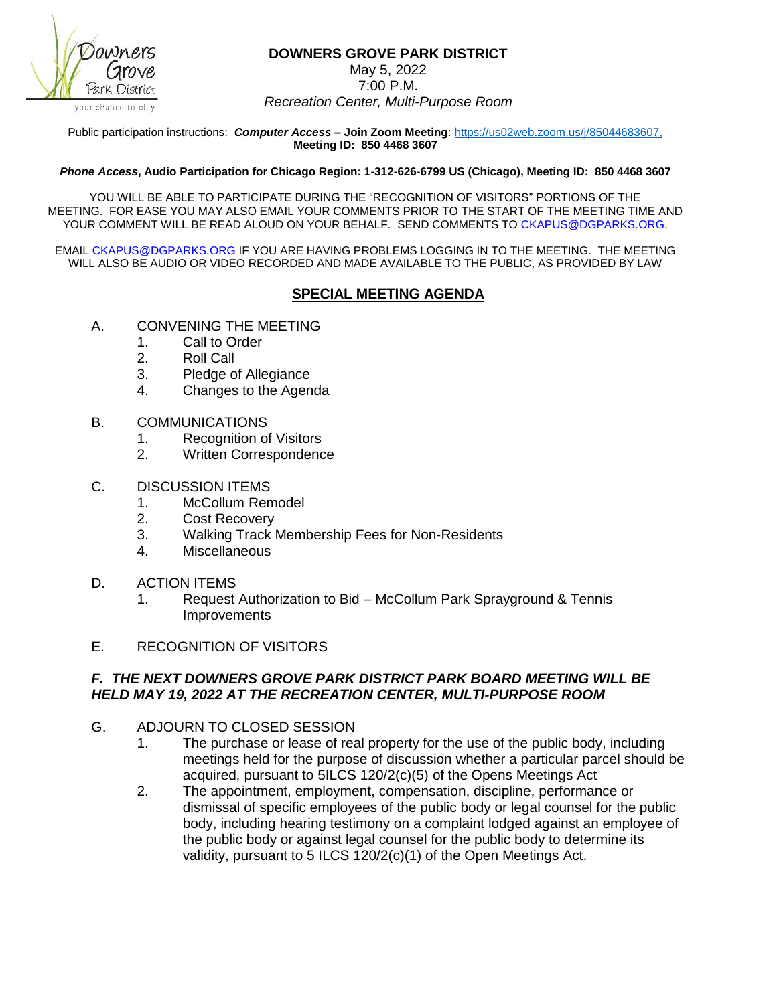

## **DOWNERS GROVE PARK DISTRICT**

May 5, 2022

7:00 P.M. *Recreation Center, Multi-Purpose Room*

Public participation instructions: *Computer Access* **– Join Zoom Meeting**: [https://us02web.zoom.us/j/85044683607,](https://us02web.zoom.us/j/85044683607) **Meeting ID: 850 4468 3607**

## *Phone Access***, Audio Participation for Chicago Region: 1-312-626-6799 US (Chicago), Meeting ID: 850 4468 3607**

YOU WILL BE ABLE TO PARTICIPATE DURING THE "RECOGNITION OF VISITORS" PORTIONS OF THE MEETING. FOR EASE YOU MAY ALSO EMAIL YOUR COMMENTS PRIOR TO THE START OF THE MEETING TIME AND YOUR COMMENT WILL BE READ ALOUD ON YOUR BEHALF. SEND COMMENTS T[O CKAPUS@DGPARKS.ORG.](mailto:CKAPUS@DGPARKS.ORG)

EMAI[L CKAPUS@DGPARKS.ORG](mailto:ckapus@dgparks.org) IF YOU ARE HAVING PROBLEMS LOGGING IN TO THE MEETING. THE MEETING WILL ALSO BE AUDIO OR VIDEO RECORDED AND MADE AVAILABLE TO THE PUBLIC, AS PROVIDED BY LAW

## **SPECIAL MEETING AGENDA**

- A. CONVENING THE MEETING
	- 1. Call to Order
	- 2. Roll Call
	- 3. Pledge of Allegiance
	- 4. Changes to the Agenda
- B. COMMUNICATIONS
	- 1. Recognition of Visitors
	- 2. Written Correspondence
- C. DISCUSSION ITEMS
	- 1. McCollum Remodel
	- 2. Cost Recovery
	- 3. Walking Track Membership Fees for Non-Residents
	- 4. Miscellaneous
- D. ACTION ITEMS
	- 1. Request Authorization to Bid McCollum Park Sprayground & Tennis **Improvements**
- E. RECOGNITION OF VISITORS

## *F. THE NEXT DOWNERS GROVE PARK DISTRICT PARK BOARD MEETING WILL BE HELD MAY 19, 2022 AT THE RECREATION CENTER, MULTI-PURPOSE ROOM*

- G. ADJOURN TO CLOSED SESSION
	- 1. The purchase or lease of real property for the use of the public body, including meetings held for the purpose of discussion whether a particular parcel should be acquired, pursuant to 5ILCS 120/2(c)(5) of the Opens Meetings Act
	- 2. The appointment, employment, compensation, discipline, performance or dismissal of specific employees of the public body or legal counsel for the public body, including hearing testimony on a complaint lodged against an employee of the public body or against legal counsel for the public body to determine its validity, pursuant to 5 ILCS 120/2(c)(1) of the Open Meetings Act.